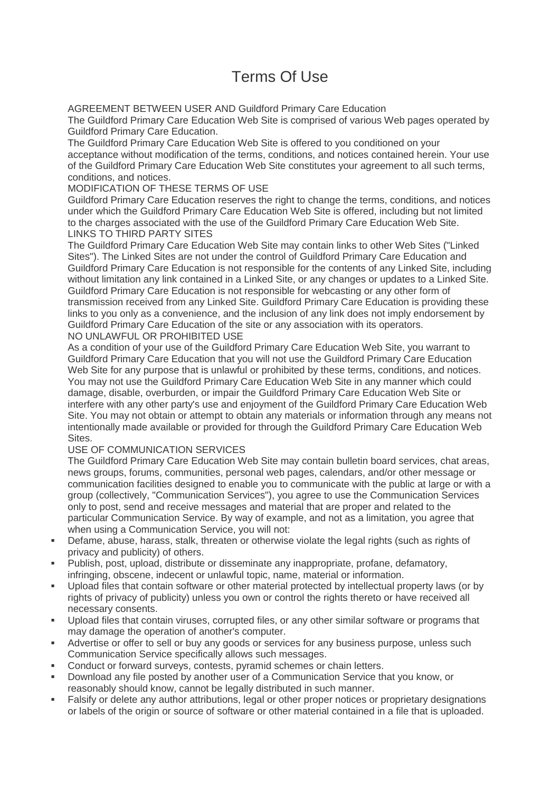## Terms Of Use

AGREEMENT BETWEEN USER AND Guildford Primary Care Education

The Guildford Primary Care Education Web Site is comprised of various Web pages operated by Guildford Primary Care Education.

The Guildford Primary Care Education Web Site is offered to you conditioned on your acceptance without modification of the terms, conditions, and notices contained herein. Your use of the Guildford Primary Care Education Web Site constitutes your agreement to all such terms, conditions, and notices.

MODIFICATION OF THESE TERMS OF USE

Guildford Primary Care Education reserves the right to change the terms, conditions, and notices under which the Guildford Primary Care Education Web Site is offered, including but not limited to the charges associated with the use of the Guildford Primary Care Education Web Site. LINKS TO THIRD PARTY SITES

The Guildford Primary Care Education Web Site may contain links to other Web Sites ("Linked Sites"). The Linked Sites are not under the control of Guildford Primary Care Education and Guildford Primary Care Education is not responsible for the contents of any Linked Site, including without limitation any link contained in a Linked Site, or any changes or updates to a Linked Site. Guildford Primary Care Education is not responsible for webcasting or any other form of transmission received from any Linked Site. Guildford Primary Care Education is providing these links to you only as a convenience, and the inclusion of any link does not imply endorsement by Guildford Primary Care Education of the site or any association with its operators. NO UNLAWFUL OR PROHIBITED USE

As a condition of your use of the Guildford Primary Care Education Web Site, you warrant to Guildford Primary Care Education that you will not use the Guildford Primary Care Education Web Site for any purpose that is unlawful or prohibited by these terms, conditions, and notices. You may not use the Guildford Primary Care Education Web Site in any manner which could damage, disable, overburden, or impair the Guildford Primary Care Education Web Site or interfere with any other party's use and enjoyment of the Guildford Primary Care Education Web Site. You may not obtain or attempt to obtain any materials or information through any means not intentionally made available or provided for through the Guildford Primary Care Education Web Sites.

## USE OF COMMUNICATION SERVICES

The Guildford Primary Care Education Web Site may contain bulletin board services, chat areas, news groups, forums, communities, personal web pages, calendars, and/or other message or communication facilities designed to enable you to communicate with the public at large or with a group (collectively, "Communication Services"), you agree to use the Communication Services only to post, send and receive messages and material that are proper and related to the particular Communication Service. By way of example, and not as a limitation, you agree that when using a Communication Service, you will not:

- Defame, abuse, harass, stalk, threaten or otherwise violate the legal rights (such as rights of privacy and publicity) of others.
- Publish, post, upload, distribute or disseminate any inappropriate, profane, defamatory, infringing, obscene, indecent or unlawful topic, name, material or information.
- Upload files that contain software or other material protected by intellectual property laws (or by rights of privacy of publicity) unless you own or control the rights thereto or have received all necessary consents.
- Upload files that contain viruses, corrupted files, or any other similar software or programs that may damage the operation of another's computer.
- Advertise or offer to sell or buy any goods or services for any business purpose, unless such Communication Service specifically allows such messages.
- Conduct or forward surveys, contests, pyramid schemes or chain letters.
- Download any file posted by another user of a Communication Service that you know, or reasonably should know, cannot be legally distributed in such manner.
- Falsify or delete any author attributions, legal or other proper notices or proprietary designations or labels of the origin or source of software or other material contained in a file that is uploaded.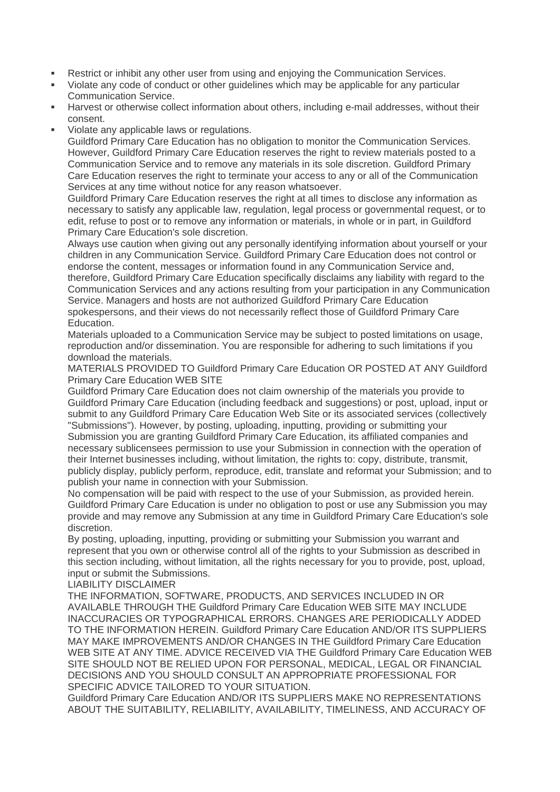- Restrict or inhibit any other user from using and enjoying the Communication Services.
- Violate any code of conduct or other guidelines which may be applicable for any particular Communication Service.
- Harvest or otherwise collect information about others, including e-mail addresses, without their consent.
- Violate any applicable laws or regulations.

Guildford Primary Care Education has no obligation to monitor the Communication Services. However, Guildford Primary Care Education reserves the right to review materials posted to a Communication Service and to remove any materials in its sole discretion. Guildford Primary Care Education reserves the right to terminate your access to any or all of the Communication Services at any time without notice for any reason whatsoever.

Guildford Primary Care Education reserves the right at all times to disclose any information as necessary to satisfy any applicable law, regulation, legal process or governmental request, or to edit, refuse to post or to remove any information or materials, in whole or in part, in Guildford Primary Care Education's sole discretion.

Always use caution when giving out any personally identifying information about yourself or your children in any Communication Service. Guildford Primary Care Education does not control or endorse the content, messages or information found in any Communication Service and, therefore, Guildford Primary Care Education specifically disclaims any liability with regard to the Communication Services and any actions resulting from your participation in any Communication Service. Managers and hosts are not authorized Guildford Primary Care Education spokespersons, and their views do not necessarily reflect those of Guildford Primary Care Education.

Materials uploaded to a Communication Service may be subject to posted limitations on usage, reproduction and/or dissemination. You are responsible for adhering to such limitations if you download the materials.

MATERIALS PROVIDED TO Guildford Primary Care Education OR POSTED AT ANY Guildford Primary Care Education WEB SITE

Guildford Primary Care Education does not claim ownership of the materials you provide to Guildford Primary Care Education (including feedback and suggestions) or post, upload, input or submit to any Guildford Primary Care Education Web Site or its associated services (collectively "Submissions"). However, by posting, uploading, inputting, providing or submitting your Submission you are granting Guildford Primary Care Education, its affiliated companies and necessary sublicensees permission to use your Submission in connection with the operation of their Internet businesses including, without limitation, the rights to: copy, distribute, transmit, publicly display, publicly perform, reproduce, edit, translate and reformat your Submission; and to publish your name in connection with your Submission.

No compensation will be paid with respect to the use of your Submission, as provided herein. Guildford Primary Care Education is under no obligation to post or use any Submission you may provide and may remove any Submission at any time in Guildford Primary Care Education's sole discretion.

By posting, uploading, inputting, providing or submitting your Submission you warrant and represent that you own or otherwise control all of the rights to your Submission as described in this section including, without limitation, all the rights necessary for you to provide, post, upload, input or submit the Submissions.

## LIABILITY DISCLAIMER

THE INFORMATION, SOFTWARE, PRODUCTS, AND SERVICES INCLUDED IN OR AVAILABLE THROUGH THE Guildford Primary Care Education WEB SITE MAY INCLUDE INACCURACIES OR TYPOGRAPHICAL ERRORS. CHANGES ARE PERIODICALLY ADDED TO THE INFORMATION HEREIN. Guildford Primary Care Education AND/OR ITS SUPPLIERS MAY MAKE IMPROVEMENTS AND/OR CHANGES IN THE Guildford Primary Care Education WEB SITE AT ANY TIME. ADVICE RECEIVED VIA THE Guildford Primary Care Education WEB SITE SHOULD NOT BE RELIED UPON FOR PERSONAL, MEDICAL, LEGAL OR FINANCIAL DECISIONS AND YOU SHOULD CONSULT AN APPROPRIATE PROFESSIONAL FOR SPECIFIC ADVICE TAILORED TO YOUR SITUATION.

Guildford Primary Care Education AND/OR ITS SUPPLIERS MAKE NO REPRESENTATIONS ABOUT THE SUITABILITY, RELIABILITY, AVAILABILITY, TIMELINESS, AND ACCURACY OF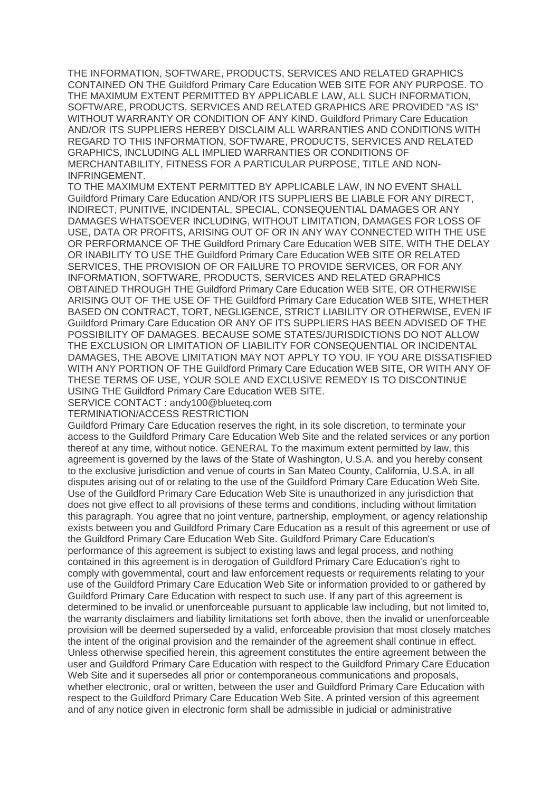THE INFORMATION, SOFTWARE, PRODUCTS, SERVICES AND RELATED GRAPHICS CONTAINED ON THE Guildford Primary Care Education WEB SITE FOR ANY PURPOSE. TO THE MAXIMUM EXTENT PERMITTED BY APPLICABLE LAW, ALL SUCH INFORMATION, SOFTWARE, PRODUCTS, SERVICES AND RELATED GRAPHICS ARE PROVIDED "AS IS" WITHOUT WARRANTY OR CONDITION OF ANY KIND. Guildford Primary Care Education AND/OR ITS SUPPLIERS HEREBY DISCLAIM ALL WARRANTIES AND CONDITIONS WITH REGARD TO THIS INFORMATION, SOFTWARE, PRODUCTS, SERVICES AND RELATED GRAPHICS, INCLUDING ALL IMPLIED WARRANTIES OR CONDITIONS OF MERCHANTABILITY, FITNESS FOR A PARTICULAR PURPOSE, TITLE AND NON-INFRINGEMENT.

TO THE MAXIMUM EXTENT PERMITTED BY APPLICABLE LAW, IN NO EVENT SHALL Guildford Primary Care Education AND/OR ITS SUPPLIERS BE LIABLE FOR ANY DIRECT, INDIRECT, PUNITIVE, INCIDENTAL, SPECIAL, CONSEQUENTIAL DAMAGES OR ANY DAMAGES WHATSOEVER INCLUDING, WITHOUT LIMITATION, DAMAGES FOR LOSS OF USE, DATA OR PROFITS, ARISING OUT OF OR IN ANY WAY CONNECTED WITH THE USE OR PERFORMANCE OF THE Guildford Primary Care Education WEB SITE, WITH THE DELAY OR INABILITY TO USE THE Guildford Primary Care Education WEB SITE OR RELATED SERVICES, THE PROVISION OF OR FAILURE TO PROVIDE SERVICES, OR FOR ANY INFORMATION, SOFTWARE, PRODUCTS, SERVICES AND RELATED GRAPHICS OBTAINED THROUGH THE Guildford Primary Care Education WEB SITE, OR OTHERWISE ARISING OUT OF THE USE OF THE Guildford Primary Care Education WEB SITE, WHETHER BASED ON CONTRACT, TORT, NEGLIGENCE, STRICT LIABILITY OR OTHERWISE, EVEN IF Guildford Primary Care Education OR ANY OF ITS SUPPLIERS HAS BEEN ADVISED OF THE POSSIBILITY OF DAMAGES. BECAUSE SOME STATES/JURISDICTIONS DO NOT ALLOW THE EXCLUSION OR LIMITATION OF LIABILITY FOR CONSEQUENTIAL OR INCIDENTAL DAMAGES, THE ABOVE LIMITATION MAY NOT APPLY TO YOU. IF YOU ARE DISSATISFIED WITH ANY PORTION OF THE Guildford Primary Care Education WEB SITE, OR WITH ANY OF THESE TERMS OF USE, YOUR SOLE AND EXCLUSIVE REMEDY IS TO DISCONTINUE USING THE Guildford Primary Care Education WEB SITE.

SERVICE CONTACT : andy100@blueteq.com

TERMINATION/ACCESS RESTRICTION

Guildford Primary Care Education reserves the right, in its sole discretion, to terminate your access to the Guildford Primary Care Education Web Site and the related services or any portion thereof at any time, without notice. GENERAL To the maximum extent permitted by law, this agreement is governed by the laws of the State of Washington, U.S.A. and you hereby consent to the exclusive jurisdiction and venue of courts in San Mateo County, California, U.S.A. in all disputes arising out of or relating to the use of the Guildford Primary Care Education Web Site. Use of the Guildford Primary Care Education Web Site is unauthorized in any jurisdiction that does not give effect to all provisions of these terms and conditions, including without limitation this paragraph. You agree that no joint venture, partnership, employment, or agency relationship exists between you and Guildford Primary Care Education as a result of this agreement or use of the Guildford Primary Care Education Web Site. Guildford Primary Care Education's performance of this agreement is subject to existing laws and legal process, and nothing contained in this agreement is in derogation of Guildford Primary Care Education's right to comply with governmental, court and law enforcement requests or requirements relating to your use of the Guildford Primary Care Education Web Site or information provided to or gathered by Guildford Primary Care Education with respect to such use. If any part of this agreement is determined to be invalid or unenforceable pursuant to applicable law including, but not limited to, the warranty disclaimers and liability limitations set forth above, then the invalid or unenforceable provision will be deemed superseded by a valid, enforceable provision that most closely matches the intent of the original provision and the remainder of the agreement shall continue in effect. Unless otherwise specified herein, this agreement constitutes the entire agreement between the user and Guildford Primary Care Education with respect to the Guildford Primary Care Education Web Site and it supersedes all prior or contemporaneous communications and proposals, whether electronic, oral or written, between the user and Guildford Primary Care Education with respect to the Guildford Primary Care Education Web Site. A printed version of this agreement and of any notice given in electronic form shall be admissible in judicial or administrative